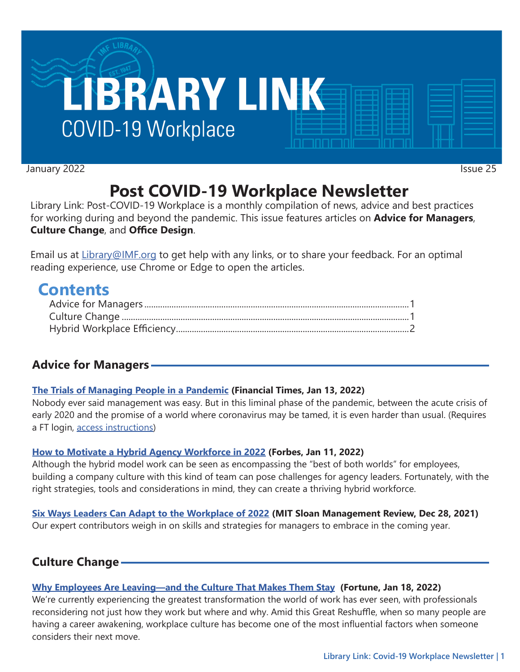

January 2022 **Issue 25** 

# **Post COVID-19 Workplace Newsletter**

Library Link: Post-COVID-19 Workplace is a monthly compilation of news, advice and best practices for working during and beyond the pandemic. This issue features articles on **Advice for Managers**, **Culture Change**, and **Office Design**.

Email us at [Library@IMF.org](mailto:Library%40IMF.org?subject=) to get help with any links, or to share your feedback. For an optimal reading experience, use Chrome or Edge to open the articles.

## **Contents**

## **Advice for Managers**

#### **[The Trials of Managing People in a Pandemic](http://t.imfconnect.imf.org/r/?id=h63db8b,31e12dc,31ed364) (Financial Times, Jan 13, 2022)**

Nobody ever said management was easy. But in this liminal phase of the pandemic, between the acute crisis of early 2020 and the promise of a world where coronavirus may be tamed, it is even harder than usual. (Requires a FT login, [access instructions](http://t.imfconnect.imf.org/r/?id=h63db8b,31e12dc,31ed365))

#### **[How to Motivate a Hybrid Agency Workforce in 2022](http://t.imfconnect.imf.org/r/?id=h63db8b,31e12dc,31ed366) (Forbes, Jan 11, 2022)**

Although the hybrid model work can be seen as encompassing the "best of both worlds" for employees, building a company culture with this kind of team can pose challenges for agency leaders. Fortunately, with the right strategies, tools and considerations in mind, they can create a thriving hybrid workforce.

#### **[Six Ways Leaders Can Adapt to the Workplace of 2022](http://t.imfconnect.imf.org/r/?id=h63db8b,31e12dc,31ed367) (MIT Sloan Management Review, Dec 28, 2021)**

Our expert contributors weigh in on skills and strategies for managers to embrace in the coming year.

## **Culture Change**

#### **[Why Employees Are Leaving—and the Culture That Makes Them Stay](http://t.imfconnect.imf.org/r/?id=h63db8b,31e12dc,31ed368) (Fortune, Jan 18, 2022)**

We're currently experiencing the greatest transformation the world of work has ever seen, with professionals reconsidering not just how they work but where and why. Amid this Great Reshuffle, when so many people are having a career awakening, workplace culture has become one of the most influential factors when someone considers their next move.